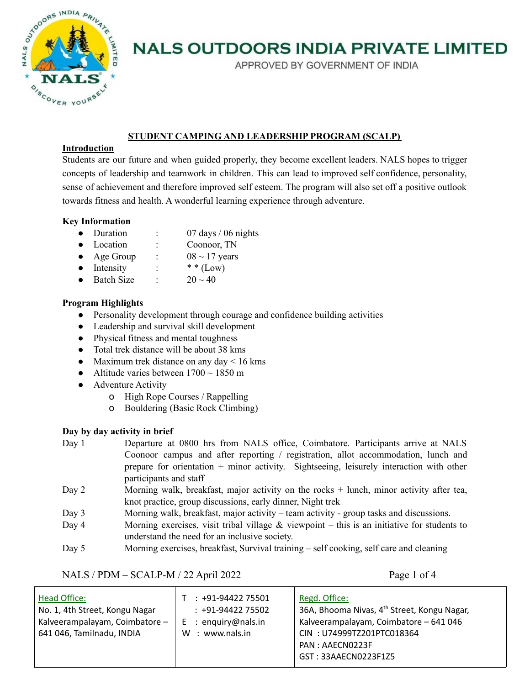

APPROVED BY GOVERNMENT OF INDIA

# **STUDENT CAMPING AND LEADERSHIP PROGRAM (SCALP)**

### **Introduction**

Students are our future and when guided properly, they become excellent leaders. NALS hopes to trigger concepts of leadership and teamwork in children. This can lead to improved self confidence, personality, sense of achievement and therefore improved self esteem. The program will also set off a positive outlook towards fitness and health. A wonderful learning experience through adventure.

# **Key Information**

- Duration : 07 days / 06 nights
- Location : Coonoor, TN
- Age Group :  $08 \sim 17$  years
- Intensity :  $**$  (Low)
- Batch Size :  $20 \sim 40$

### **Program Highlights**

- Personality development through courage and confidence building activities
- Leadership and survival skill development
- Physical fitness and mental toughness
- Total trek distance will be about 38 kms
- Maximum trek distance on any day  $< 16$  kms
- Altitude varies between  $1700 \sim 1850$  m
- Adventure Activity
	- o High Rope Courses / Rappelling
	- o Bouldering (Basic Rock Climbing)

#### **Day by day activity in brief**

| Day $1$ | Departure at 0800 hrs from NALS office, Coimbatore. Participants arrive at NALS         |
|---------|-----------------------------------------------------------------------------------------|
|         | Coonoor campus and after reporting / registration, allot accommodation, lunch and       |
|         | prepare for orientation + minor activity. Sightseeing, leisurely interaction with other |
|         | participants and staff                                                                  |
|         |                                                                                         |

- Day 2 Morning walk, breakfast, major activity on the rocks + lunch, minor activity after tea, knot practice, group discussions, early dinner, Night trek
- Day 3 Morning walk, breakfast, major activity team activity group tasks and discussions.
- Day 4 Morning exercises, visit tribal village  $\&$  viewpoint this is an initiative for students to understand the need for an inclusive society.
- Day 5 Morning exercises, breakfast, Survival training self cooking, self care and cleaning

# NALS / PDM – SCALP-M / 22 April 2022 Page 1 of 4

| <b>Head Office:</b><br>No. 1, 4th Street, Kongu Nagar<br>Kalveerampalayam, Coimbatore -<br>641 046, Tamilnadu, INDIA | +91-94422 75501<br>$: +91-9442275502$<br>: enguiry@nals.in<br>Е<br>: www.nals.in<br>W | Regd. Office:<br>36A, Bhooma Nivas, 4 <sup>th</sup> Street, Kongu Nagar,<br>Kalveerampalayam, Coimbatore - 641 046<br>CIN: U74999TZ201PTC018364<br>PAN: AAECN0223F |
|----------------------------------------------------------------------------------------------------------------------|---------------------------------------------------------------------------------------|--------------------------------------------------------------------------------------------------------------------------------------------------------------------|
|                                                                                                                      |                                                                                       |                                                                                                                                                                    |
|                                                                                                                      |                                                                                       | GST: 33AAECN0223F1Z5                                                                                                                                               |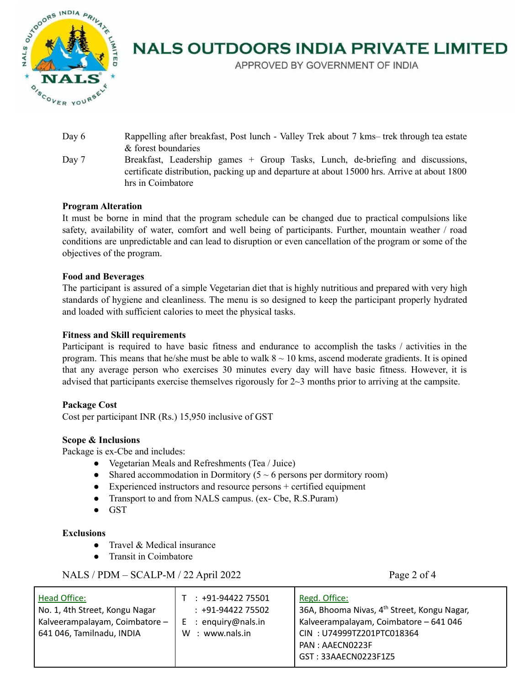

APPROVED BY GOVERNMENT OF INDIA

- Day 6 Rappelling after breakfast, Post lunch Valley Trek about 7 kms– trek through tea estate & forest boundaries
- Day 7 Breakfast, Leadership games + Group Tasks, Lunch, de-briefing and discussions, certificate distribution, packing up and departure at about 15000 hrs. Arrive at about 1800 hrs in Coimbatore

# **Program Alteration**

It must be borne in mind that the program schedule can be changed due to practical compulsions like safety, availability of water, comfort and well being of participants. Further, mountain weather / road conditions are unpredictable and can lead to disruption or even cancellation of the program or some of the objectives of the program.

#### **Food and Beverages**

The participant is assured of a simple Vegetarian diet that is highly nutritious and prepared with very high standards of hygiene and cleanliness. The menu is so designed to keep the participant properly hydrated and loaded with sufficient calories to meet the physical tasks.

### **Fitness and Skill requirements**

Participant is required to have basic fitness and endurance to accomplish the tasks / activities in the program. This means that he/she must be able to walk  $8 \sim 10$  kms, ascend moderate gradients. It is opined that any average person who exercises 30 minutes every day will have basic fitness. However, it is advised that participants exercise themselves rigorously for 2~3 months prior to arriving at the campsite.

#### **Package Cost**

Cost per participant INR (Rs.) 15,950 inclusive of GST

#### **Scope & Inclusions**

Package is ex-Cbe and includes:

- Vegetarian Meals and Refreshments (Tea / Juice)
- Shared accommodation in Dormitory ( $5 \sim 6$  persons per dormitory room)
- $\bullet$  Experienced instructors and resource persons + certified equipment
- Transport to and from NALS campus. (ex- Cbe, R.S.Puram)
- GST

#### **Exclusions**

- Travel & Medical insurance
- Transit in Coimbatore

# NALS / PDM – SCALP-M / 22 April 2022 Page 2 of 4

| <b>Head Office:</b><br>No. 1, 4th Street, Kongu Nagar<br>Kalveerampalayam, Coimbatore -<br>641 046, Tamilnadu, INDIA | $: +91-9442275501$<br>$: +91-9442275502$<br>: enguiry@nals.in<br>E.<br>: www.nals.in<br>w | Regd. Office:<br>36A, Bhooma Nivas, 4 <sup>th</sup> Street, Kongu Nagar,<br>Kalveerampalayam, Coimbatore - 641 046<br>CIN: U74999TZ201PTC018364<br>PAN: AAECN0223F |
|----------------------------------------------------------------------------------------------------------------------|-------------------------------------------------------------------------------------------|--------------------------------------------------------------------------------------------------------------------------------------------------------------------|
|                                                                                                                      |                                                                                           |                                                                                                                                                                    |
|                                                                                                                      |                                                                                           | GST: 33AAECN0223F1Z5                                                                                                                                               |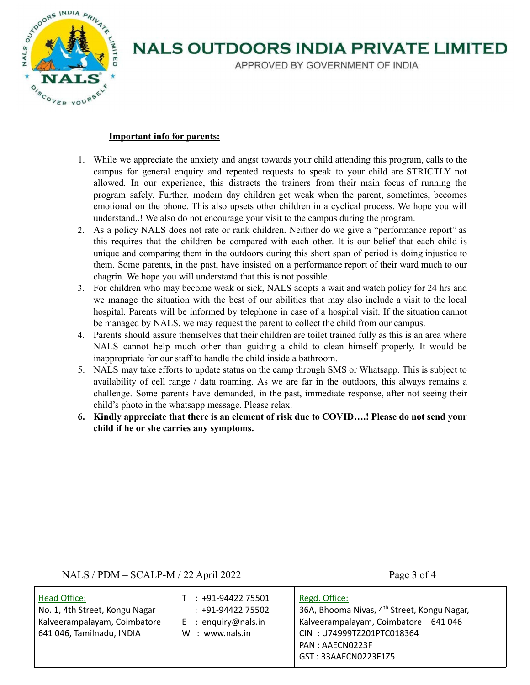

APPROVED BY GOVERNMENT OF INDIA

### **Important info for parents:**

- 1. While we appreciate the anxiety and angst towards your child attending this program, calls to the campus for general enquiry and repeated requests to speak to your child are STRICTLY not allowed. In our experience, this distracts the trainers from their main focus of running the program safely. Further, modern day children get weak when the parent, sometimes, becomes emotional on the phone. This also upsets other children in a cyclical process. We hope you will understand..! We also do not encourage your visit to the campus during the program.
- 2. As a policy NALS does not rate or rank children. Neither do we give a "performance report" as this requires that the children be compared with each other. It is our belief that each child is unique and comparing them in the outdoors during this short span of period is doing injustice to them. Some parents, in the past, have insisted on a performance report of their ward much to our chagrin. We hope you will understand that this is not possible.
- 3. For children who may become weak or sick, NALS adopts a wait and watch policy for 24 hrs and we manage the situation with the best of our abilities that may also include a visit to the local hospital. Parents will be informed by telephone in case of a hospital visit. If the situation cannot be managed by NALS, we may request the parent to collect the child from our campus.
- 4. Parents should assure themselves that their children are toilet trained fully as this is an area where NALS cannot help much other than guiding a child to clean himself properly. It would be inappropriate for our staff to handle the child inside a bathroom.
- 5. NALS may take efforts to update status on the camp through SMS or Whatsapp. This is subject to availability of cell range / data roaming. As we are far in the outdoors, this always remains a challenge. Some parents have demanded, in the past, immediate response, after not seeing their child's photo in the whatsapp message. Please relax.
- **6. Kindly appreciate that there is an element of risk due to COVID….! Please do not send your child if he or she carries any symptoms.**

# NALS / PDM – SCALP-M / 22 April 2022 Page 3 of 4

| Head Office:<br>No. 1, 4th Street, Kongu Nagar<br>Kalveerampalayam, Coimbatore -<br>641 046, Tamilnadu, INDIA | $: +91-9442275501$<br>$: +91-9442275502$<br>$E$ : enquiry@nals.in<br>: www.nals.in<br>W | Regd. Office:<br>36A, Bhooma Nivas, 4 <sup>th</sup> Street, Kongu Nagar,<br>Kalveerampalayam, Coimbatore - 641 046<br>CIN: U74999TZ201PTC018364<br>PAN: AAECN0223F<br>GST: 33AAECN0223F1Z5 |
|---------------------------------------------------------------------------------------------------------------|-----------------------------------------------------------------------------------------|--------------------------------------------------------------------------------------------------------------------------------------------------------------------------------------------|
|---------------------------------------------------------------------------------------------------------------|-----------------------------------------------------------------------------------------|--------------------------------------------------------------------------------------------------------------------------------------------------------------------------------------------|